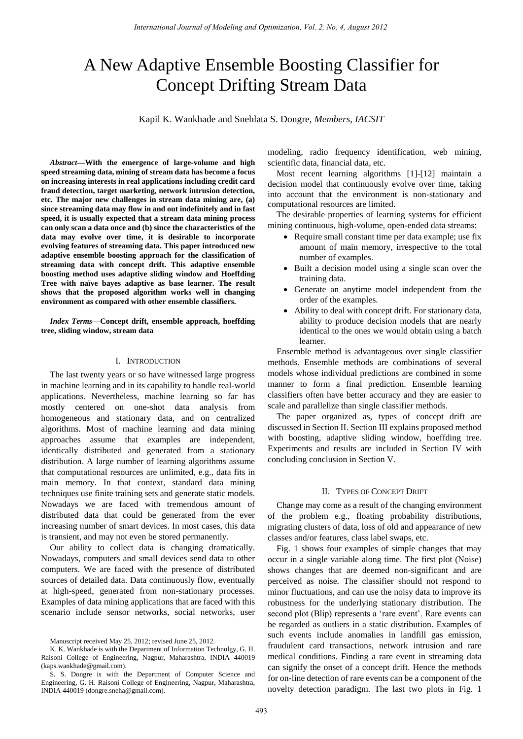# A New Adaptive Ensemble Boosting Classifier for Concept Drifting Stream Data

Kapil K. Wankhade and Snehlata S. Dongre, *Members, IACSIT*

*Abstract***—With the emergence of large-volume and high speed streaming data, mining of stream data has become a focus on increasing interests in real applications including credit card fraud detection, target marketing, network intrusion detection, etc. The major new challenges in stream data mining are, (a) since streaming data may flow in and out indefinitely and in fast speed, it is usually expected that a stream data mining process can only scan a data once and (b) since the characteristics of the data may evolve over time, it is desirable to incorporate evolving features of streaming data. This paper introduced new adaptive ensemble boosting approach for the classification of streaming data with concept drift. This adaptive ensemble boosting method uses adaptive sliding window and Hoeffding Tree with naïve bayes adaptive as base learner. The result shows that the proposed algorithm works well in changing environment as compared with other ensemble classifiers.** 

*Index Terms***—Concept drift, ensemble approach, hoeffding tree, sliding window, stream data** 

#### I. INTRODUCTION

The last twenty years or so have witnessed large progress in machine learning and in its capability to handle real-world applications. Nevertheless, machine learning so far has mostly centered on one-shot data analysis from homogeneous and stationary data, and on centralized algorithms. Most of machine learning and data mining approaches assume that examples are independent, identically distributed and generated from a stationary distribution. A large number of learning algorithms assume that computational resources are unlimited, e.g., data fits in main memory. In that context, standard data mining techniques use finite training sets and generate static models. Nowadays we are faced with tremendous amount of distributed data that could be generated from the ever increasing number of smart devices. In most cases, this data is transient, and may not even be stored permanently.

Our ability to collect data is changing dramatically. Nowadays, computers and small devices send data to other computers. We are faced with the presence of distributed sources of detailed data. Data continuously flow, eventually at high-speed, generated from non-stationary processes. Examples of data mining applications that are faced with this scenario include sensor networks, social networks, user modeling, radio frequency identification, web mining, scientific data, financial data, etc.

Most recent learning algorithms [1]-[12] maintain a decision model that continuously evolve over time, taking into account that the environment is non-stationary and computational resources are limited.

The desirable properties of learning systems for efficient mining continuous, high-volume, open-ended data streams:

- Require small constant time per data example; use fix amount of main memory, irrespective to the total number of examples.
- Built a decision model using a single scan over the training data.
- Generate an anytime model independent from the order of the examples.
- Ability to deal with concept drift. For stationary data, ability to produce decision models that are nearly identical to the ones we would obtain using a batch learner.

Ensemble method is advantageous over single classifier methods. Ensemble methods are combinations of several models whose individual predictions are combined in some manner to form a final prediction. Ensemble learning classifiers often have better accuracy and they are easier to scale and parallelize than single classifier methods.

The paper organized as, types of concept drift are discussed in Section II. Section III explains proposed method with boosting, adaptive sliding window, hoeffding tree. Experiments and results are included in Section IV with concluding conclusion in Section V.

# II. TYPES OF CONCEPT DRIFT

Change may come as a result of the changing environment of the problem e.g., floating probability distributions, migrating clusters of data, loss of old and appearance of new classes and/or features, class label swaps, etc.

Fig. 1 shows four examples of simple changes that may occur in a single variable along time. The first plot (Noise) shows changes that are deemed non-significant and are perceived as noise. The classifier should not respond to minor fluctuations, and can use the noisy data to improve its robustness for the underlying stationary distribution. The second plot (Blip) represents a 'rare event'. Rare events can be regarded as outliers in a static distribution. Examples of such events include anomalies in landfill gas emission, fraudulent card transactions, network intrusion and rare medical conditions. Finding a rare event in streaming data can signify the onset of a concept drift. Hence the methods for on-line detection of rare events can be a component of the novelty detection paradigm. The last two plots in Fig. 1

Manuscript received May 25, 2012; revised June 25, 2012.

K. K. Wankhade is with the Department of Information Technolgy, G. H. Raisoni College of Engineering, Nagpur, Maharashtra, INDIA 440019 (kaps.wankhade@gmail.com).

S. S. Dongre is with the Department of Computer Science and Engineering, G. H. Raisoni College of Engineering, Nagpur, Maharashtra, INDIA 440019 (dongre.sneha@gmail.com).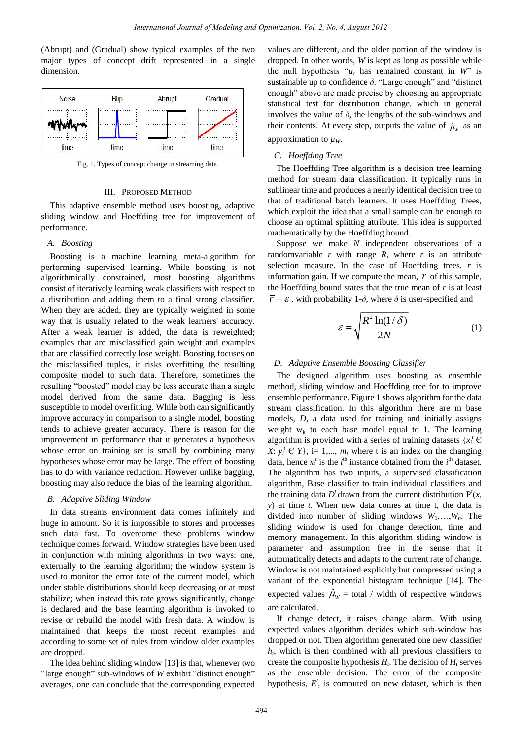(Abrupt) and (Gradual) show typical examples of the two major types of concept drift represented in a single dimension.



Fig. 1. Types of concept change in streaming data.

## III. PROPOSED METHOD

This adaptive ensemble method uses boosting, adaptive sliding window and Hoeffding tree for improvement of performance.

# *A. Boosting*

Boosting is a machine learning meta-algorithm for performing supervised learning. While boosting is not algorithmically constrained, most boosting algorithms consist of iteratively learning weak classifiers with respect to a distribution and adding them to a final strong classifier. When they are added, they are typically weighted in some way that is usually related to the weak learners' accuracy. After a weak learner is added, the data is reweighted; examples that are misclassified gain weight and examples that are classified correctly lose weight. Boosting focuses on the misclassified tuples, it risks overfitting the resulting composite model to such data. Therefore, sometimes the resulting "boosted" model may be less accurate than a single model derived from the same data. Bagging is less susceptible to model overfitting. While both can significantly improve accuracy in comparison to a single model, boosting tends to achieve greater accuracy. There is reason for the improvement in performance that it generates a hypothesis whose error on training set is small by combining many hypotheses whose error may be large. The effect of boosting has to do with variance reduction. However unlike bagging, boosting may also reduce the bias of the learning algorithm.

#### *B. Adaptive Sliding Window*

In data streams environment data comes infinitely and huge in amount. So it is impossible to stores and processes such data fast. To overcome these problems window technique comes forward. Window strategies have been used in conjunction with mining algorithms in two ways: one, externally to the learning algorithm; the window system is used to monitor the error rate of the current model, which under stable distributions should keep decreasing or at most stabilize; when instead this rate grows significantly, change is declared and the base learning algorithm is invoked to revise or rebuild the model with fresh data. A window is maintained that keeps the most recent examples and according to some set of rules from window older examples are dropped.

The idea behind sliding window [13] is that, whenever two "large enough" sub-windows of *W* exhibit "distinct enough" averages, one can conclude that the corresponding expected

values are different, and the older portion of the window is dropped. In other words, *W* is kept as long as possible while the null hypothesis " $\mu$ <sup>*t*</sup> has remained constant in *W*" is sustainable up to confidence *δ*. "Large enough" and "distinct enough" above are made precise by choosing an appropriate statistical test for distribution change, which in general involves the value of  $\delta$ , the lengths of the sub-windows and their contents. At every step, outputs the value of  $\hat{\mu}_w$  as an approximation to  $\mu$ <sup>*w*</sup>.

# *C. Hoeffding Tree*

The Hoeffding Tree algorithm is a decision tree learning method for stream data classification. It typically runs in sublinear time and produces a nearly identical decision tree to that of traditional batch learners. It uses Hoeffding Trees, which exploit the idea that a small sample can be enough to choose an optimal splitting attribute. This idea is supported mathematically by the Hoeffding bound.

Suppose we make *N* independent observations of a randomvariable  $r$  with range  $R$ , where  $r$  is an attribute selection measure. In the case of Hoeffding trees, *r* is information gain. If we compute the mean,  $\bar{r}$  of this sample, the Hoeffding bound states that the true mean of *r* is at least  $\overline{r} - \varepsilon$ , with probability 1- $\delta$ , where  $\delta$  is user-specified and

$$
\varepsilon = \sqrt{\frac{R^2 \ln(1/\delta)}{2N}}\tag{1}
$$

#### *D. Adaptive Ensemble Boosting Classifier*

The designed algorithm uses boosting as ensemble method, sliding window and Hoeffding tree for to improve ensemble performance. Figure 1 shows algorithm for the data stream classification. In this algorithm there are m base models, *D*, a data used for training and initially assigns weight  $w_k$  to each base model equal to 1. The learning algorithm is provided with a series of training datasets  ${x_i}^tC$ *X*:  $y_i^t \in Y$ , i= 1,...,  $m_t$  where t is an index on the changing data, hence  $x_i^t$  is the  $i^{\text{th}}$  instance obtained from the  $i^{\text{th}}$  dataset. The algorithm has two inputs, a supervised classification algorithm, Base classifier to train individual classifiers and the training data  $D^t$  drawn from the current distribution  $P^t(x)$ , *y*) at time *t*. When new data comes at time t, the data is divided into number of sliding windows  $W_1, \ldots, W_n$ . The sliding window is used for change detection, time and memory management. In this algorithm sliding window is parameter and assumption free in the sense that it automatically detects and adapts to the current rate of change. Window is not maintained explicitly but compressed using a variant of the exponential histogram technique [14]. The expected values  $\hat{\mu}_w$  = total / width of respective windows are calculated.

If change detect, it raises change alarm. With using expected values algorithm decides which sub-window has dropped or not. Then algorithm generated one new classifier *ht* , which is then combined with all previous classifiers to create the composite hypothesis  $H_t$ . The decision of  $H_t$  serves as the ensemble decision. The error of the composite hypothesis,  $E^t$ , is computed on new dataset, which is then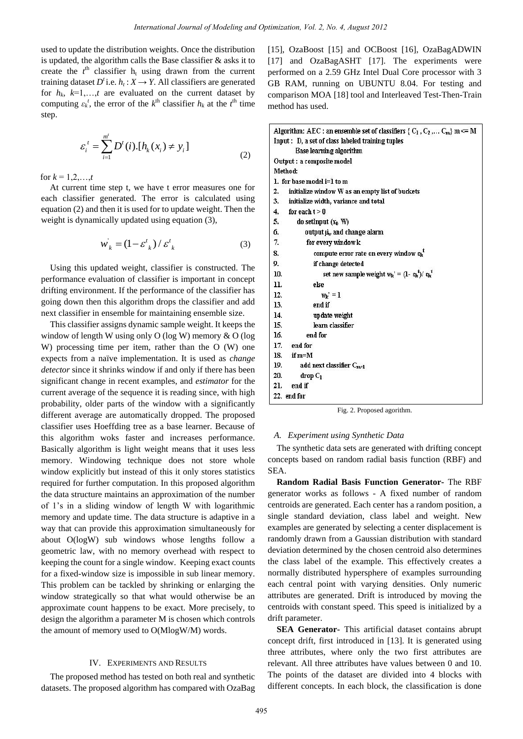used to update the distribution weights. Once the distribution is updated, the algorithm calls the Base classifier & asks it to create the  $t<sup>th</sup>$  classifier  $h<sub>t</sub>$  using drawn from the current training dataset  $D^t$  i.e.  $h_t$  :  $X \rightarrow Y$ . All classifiers are generated for  $h_k$ ,  $k=1,\ldots,t$  are evaluated on the current dataset by computing  $\varepsilon_k^t$ , the error of the  $k^{\text{th}}$  classifier  $h_k$  at the  $t^{\text{th}}$  time step.

$$
\varepsilon_i^t = \sum_{i=1}^{m'} D'(i) \left[ h_k(x_i) \neq y_i \right] \tag{2}
$$

for  $k = 1, 2, ..., t$ 

At current time step t, we have t error measures one for each classifier generated. The error is calculated using equation (2) and then it is used for to update weight. Then the weight is dynamically updated using equation (3),

$$
w_k = \left(1 - \varepsilon_{k}^{t}\right) / \varepsilon_{k}^{t} \tag{3}
$$

Using this updated weight, classifier is constructed. The performance evaluation of classifier is important in concept drifting environment. If the performance of the classifier has going down then this algorithm drops the classifier and add next classifier in ensemble for maintaining ensemble size.

This classifier assigns dynamic sample weight. It keeps the window of length W using only O (log W) memory & O (log W) processing time per item, rather than the O (W) one expects from a naïve implementation. It is used as *change detector* since it shrinks window if and only if there has been significant change in recent examples, and *estimator* for the current average of the sequence it is reading since, with high probability, older parts of the window with a significantly different average are automatically dropped. The proposed classifier uses Hoeffding tree as a base learner. Because of this algorithm woks faster and increases performance. Basically algorithm is light weight means that it uses less memory. Windowing technique does not store whole window explicitly but instead of this it only stores statistics required for further computation. In this proposed algorithm the data structure maintains an approximation of the number of 1"s in a sliding window of length W with logarithmic memory and update time. The data structure is adaptive in a way that can provide this approximation simultaneously for about O(logW) sub windows whose lengths follow a geometric law, with no memory overhead with respect to keeping the count for a single window. Keeping exact counts for a fixed-window size is impossible in sub linear memory. This problem can be tackled by shrinking or enlarging the window strategically so that what would otherwise be an approximate count happens to be exact. More precisely, to design the algorithm a parameter M is chosen which controls the amount of memory used to O(MlogW/M) words.

# IV. EXPERIMENTS AND RESULTS

The proposed method has tested on both real and synthetic datasets. The proposed algorithm has compared with OzaBag [15], OzaBoost [15] and OCBoost [16], OzaBagADWIN [17] and OzaBagASHT [17]. The experiments were performed on a 2.59 GHz Intel Dual Core processor with 3 GB RAM, running on UBUNTU 8.04. For testing and comparison MOA [18] tool and Interleaved Test-Then-Train method has used.

|                | Algorithm: AEC : an ensemble set of classifiers $\{C_1, C_2, \ldots C_m\}$ m $\Leftarrow$ M |
|----------------|---------------------------------------------------------------------------------------------|
|                | Input: D, a set of class labeled training tuples                                            |
|                | <b>Base learning algorithm</b>                                                              |
|                | Output : a composite model                                                                  |
|                | Method:                                                                                     |
|                | 1. for base model $i=1$ to m                                                                |
| 2.             | initialize window W as an empty list of buckets                                             |
| 3 <sub>1</sub> | initialize width, variance and total                                                        |
| 4.             | for each $t > 0$                                                                            |
| 5.             | do setInput $(x_t, W)$                                                                      |
| б.             | output $\mu_{\nu}$ and change alarm                                                         |
| 7.             | for every window <b>k</b>                                                                   |
| 8.             | compute error rate on every window $\varepsilon_k^{\ t}$                                    |
| 9.             | if change detected                                                                          |
| 10.            | set new sample weight $w_k' = (1 - \epsilon_k^t)/ \epsilon_k^t$                             |
| 11.            | else                                                                                        |
| 12.            | $w_k' = 1$                                                                                  |
| 13.            | end if                                                                                      |
| 14.            | update weight                                                                               |
| 15.            | learn classifier                                                                            |
| 16.            | end for                                                                                     |
| 17.            | end for                                                                                     |
| 18.            | if m=M                                                                                      |
| 19.            | add next classifier $C_{m+1}$                                                               |
| 20.            | $drop C_1$                                                                                  |
| 21.            | end if                                                                                      |
|                | 22. end for                                                                                 |

Fig. 2. Proposed agorithm.

#### *A. Experiment using Synthetic Data*

The synthetic data sets are generated with drifting concept concepts based on random radial basis function (RBF) and SEA.

**Random Radial Basis Function Generator-** The RBF generator works as follows - A fixed number of random centroids are generated. Each center has a random position, a single standard deviation, class label and weight. New examples are generated by selecting a center displacement is randomly drawn from a Gaussian distribution with standard deviation determined by the chosen centroid also determines the class label of the example. This effectively creates a normally distributed hypersphere of examples surrounding each central point with varying densities. Only numeric attributes are generated. Drift is introduced by moving the centroids with constant speed. This speed is initialized by a drift parameter.

**SEA Generator-** This artificial dataset contains abrupt concept drift, first introduced in [13]. It is generated using three attributes, where only the two first attributes are relevant. All three attributes have values between 0 and 10. The points of the dataset are divided into 4 blocks with different concepts. In each block, the classification is done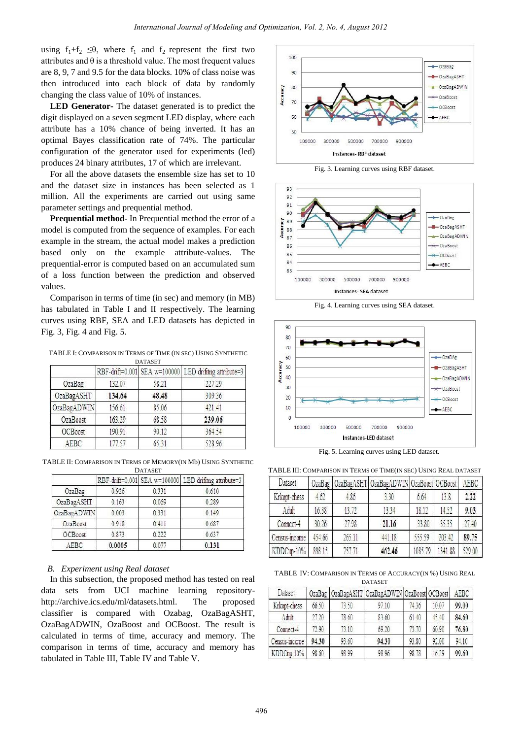using  $f_1+f_2 \leq \theta$ , where  $f_1$  and  $f_2$  represent the first two attributes and  $\theta$  is a threshold value. The most frequent values are 8, 9, 7 and 9.5 for the data blocks. 10% of class noise was then introduced into each block of data by randomly changing the class value of 10% of instances.

**LED Generator-** The dataset generated is to predict the digit displayed on a seven segment LED display, where each attribute has a 10% chance of being inverted. It has an optimal Bayes classification rate of 74%. The particular configuration of the generator used for experiments (led) produces 24 binary attributes, 17 of which are irrelevant.

For all the above datasets the ensemble size has set to 10 and the dataset size in instances has been selected as 1 million. All the experiments are carried out using same parameter settings and prequential method.

**Prequential method-** In Prequential method the error of a model is computed from the sequence of examples. For each example in the stream, the actual model makes a prediction based only on the example attribute-values. The prequential-error is computed based on an accumulated sum of a loss function between the prediction and observed values.

Comparison in terms of time (in sec) and memory (in MB) has tabulated in Table I and II respectively. The learning curves using RBF, SEA and LED datasets has depicted in Fig. 3, Fig. 4 and Fig. 5.

TABLE I: COMPARISON IN TERMS OF TIME (IN SEC) USING SYNTHETIC **DATASET** 

| .              |        |       |                                                       |  |  |  |
|----------------|--------|-------|-------------------------------------------------------|--|--|--|
|                |        |       | RBF-drift=0.001 SEA w=100000 LED drifting attribute=3 |  |  |  |
| OzaBag         | 132.07 | 58.21 | 227.29                                                |  |  |  |
| OzaBagASHT     | 134.64 | 48.48 | 309.36                                                |  |  |  |
| OzaBagADWIN    | 156.61 | 85.06 | 421.41                                                |  |  |  |
| OzaBoost       | 163.29 | 68.58 | 239.06                                                |  |  |  |
| <b>OCBoost</b> | 190.91 | 90.12 | 364.54                                                |  |  |  |
| AEBC           | 177.57 | 65.31 | 528.96                                                |  |  |  |

TABLE II: COMPARISON IN TERMS OF MEMORY(IN Mb) USING SYNTHETIC DATASET

|             |        |       | RBF-drift=0.001 SEA w=100000 LED drifting attribute=3 |
|-------------|--------|-------|-------------------------------------------------------|
| OzaBag      | 0.926  | 0.331 | 0.610                                                 |
| OzaBagASHT  | 0.163  | 0.069 | 0.289                                                 |
| OzaBagADWIN | 0.003  | 0.331 | 0.149                                                 |
| OzaBoost    | 0.918  | 0.411 | 0.687                                                 |
| OCBoost     | 0.873  | 0.222 | 0.637                                                 |
| AEBC        | 0.0005 | 0.077 | 0.131                                                 |

#### *B. Experiment using Real dataset*

In this subsection, the proposed method has tested on real data sets from UCI machine learning repositoryhttp://archive.ics.edu/ml/datasets.html. The proposed classifier is compared with Ozabag, OzaBagASHT, OzaBagADWIN, OzaBoost and OCBoost. The result is calculated in terms of time, accuracy and memory. The comparison in terms of time, accuracy and memory has tabulated in Table III, Table IV and Table V.



Fig. 3. Learning curves using RBF dataset.



Fig. 4. Learning curves using SEA dataset.



Fig. 5. Learning curves using LED dataset.

TABLE III: COMPARISON IN TERMS OF TIME(IN SEC) USING REAL DATASET

| Dataset       | OzaBag |        | OzaBagASHT   OzaBagADWIN   OzaBoost   OCBoost |         |         | AEBC   |
|---------------|--------|--------|-----------------------------------------------|---------|---------|--------|
| Krkopt-chess  | 4.62   | 4.86   | 3.30                                          | 6.64    | 13.8    | 2.22   |
| Adult         | 16.38  | 13.72  | 13.34                                         | 18.12   | 14.52   | 9.03   |
| Connect-4     | 30.26  | 27.98  | 21.16                                         | 33.80   | 35.35   | 27.40  |
| Census-income | 454.66 | 265.11 | 441.18                                        | 555.59  | 203.42  | 89.75  |
| KDDCup-10%    | 898.15 | 757.71 | 462.46                                        | 1085.79 | 1341.88 | 529.00 |

TABLE IV: COMPARISON IN TERMS OF ACCURACY(IN %) USING REAL DATASET

| Dataset       |       |       | OzaBag   OzaBagASHT   OzaBagADWIN   OzaBoost   OCBoost |       |       | AEBC  |
|---------------|-------|-------|--------------------------------------------------------|-------|-------|-------|
| Krkopt-chess  | 66.50 | 73.50 | 97.10                                                  | 74.36 | 10.07 | 99.00 |
| Adult         | 27.20 | 78.60 | 83.60                                                  | 61.40 | 45.40 | 84.60 |
| Connect-4     | 72.90 | 73.10 | 69.20                                                  | 73.70 | 60.90 | 76.80 |
| Census-income | 94.30 | 93.60 | 94.30                                                  | 93.80 | 92.00 | 94.10 |
| KDDCup-10%    | 98.60 | 98.99 | 98.96                                                  | 98.78 | 16.29 | 99.60 |